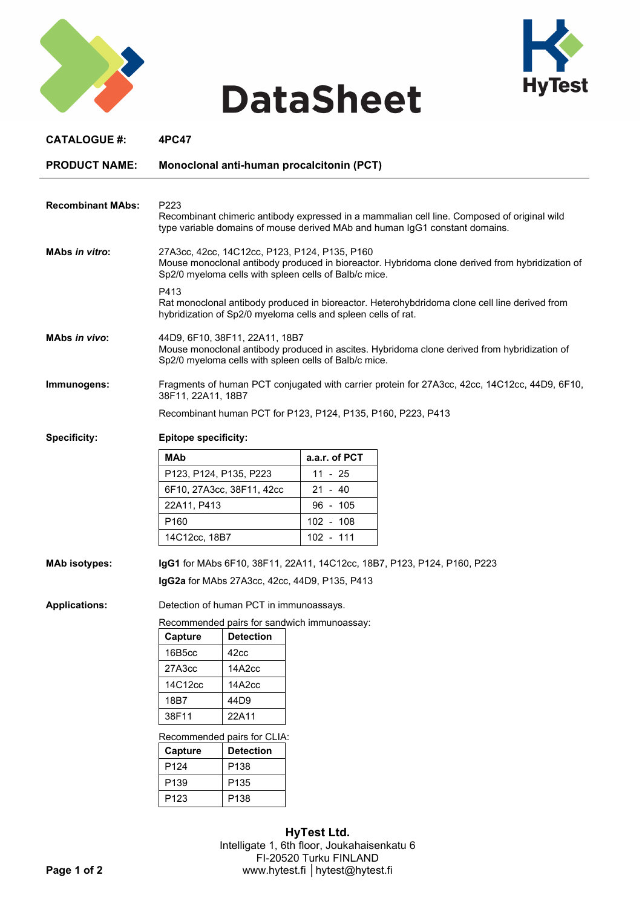

## **DataSheet**



| <b>CATALOGUE #:</b>      | 4PC47                                                                                                                                                                                                     |                                               |               |  |  |
|--------------------------|-----------------------------------------------------------------------------------------------------------------------------------------------------------------------------------------------------------|-----------------------------------------------|---------------|--|--|
| <b>PRODUCT NAME:</b>     | Monoclonal anti-human procalcitonin (PCT)                                                                                                                                                                 |                                               |               |  |  |
| <b>Recombinant MAbs:</b> | P <sub>223</sub><br>Recombinant chimeric antibody expressed in a mammalian cell line. Composed of original wild<br>type variable domains of mouse derived MAb and human IgG1 constant domains.            |                                               |               |  |  |
| <b>MAbs in vitro:</b>    | 27A3cc, 42cc, 14C12cc, P123, P124, P135, P160<br>Mouse monoclonal antibody produced in bioreactor. Hybridoma clone derived from hybridization of<br>Sp2/0 myeloma cells with spleen cells of Balb/c mice. |                                               |               |  |  |
|                          | P413<br>Rat monoclonal antibody produced in bioreactor. Heterohybdridoma clone cell line derived from<br>hybridization of Sp2/0 myeloma cells and spleen cells of rat.                                    |                                               |               |  |  |
| <b>MAbs in vivo:</b>     | 44D9, 6F10, 38F11, 22A11, 18B7<br>Mouse monoclonal antibody produced in ascites. Hybridoma clone derived from hybridization of<br>Sp2/0 myeloma cells with spleen cells of Balb/c mice.                   |                                               |               |  |  |
| Immunogens:              | Fragments of human PCT conjugated with carrier protein for 27A3cc, 42cc, 14C12cc, 44D9, 6F10,<br>38F11, 22A11, 18B7                                                                                       |                                               |               |  |  |
|                          | Recombinant human PCT for P123, P124, P135, P160, P223, P413                                                                                                                                              |                                               |               |  |  |
| <b>Specificity:</b>      | <b>Epitope specificity:</b>                                                                                                                                                                               |                                               |               |  |  |
|                          | MAb                                                                                                                                                                                                       |                                               | a.a.r. of PCT |  |  |
|                          | P123, P124, P135, P223                                                                                                                                                                                    |                                               | 11 - 25       |  |  |
|                          | 6F10, 27A3cc, 38F11, 42cc                                                                                                                                                                                 |                                               | $21 - 40$     |  |  |
|                          | 22A11, P413                                                                                                                                                                                               |                                               | $96 - 105$    |  |  |
|                          | P <sub>160</sub>                                                                                                                                                                                          |                                               | $102 - 108$   |  |  |
|                          | 14C12cc, 18B7                                                                                                                                                                                             |                                               | 102 - 111     |  |  |
| <b>MAb isotypes:</b>     | IgG1 for MAbs 6F10, 38F11, 22A11, 14C12cc, 18B7, P123, P124, P160, P223                                                                                                                                   |                                               |               |  |  |
|                          |                                                                                                                                                                                                           | IgG2a for MAbs 27A3cc, 42cc, 44D9, P135, P413 |               |  |  |
| <b>Applications:</b>     | Detection of human PCT in immunoassays.                                                                                                                                                                   |                                               |               |  |  |
|                          | Recommended pairs for sandwich immunoassay:                                                                                                                                                               |                                               |               |  |  |
|                          | Capture                                                                                                                                                                                                   | <b>Detection</b>                              |               |  |  |
|                          | 16B5cc                                                                                                                                                                                                    | 42cc                                          |               |  |  |
|                          | 27A3cc                                                                                                                                                                                                    | 14A2cc                                        |               |  |  |
|                          | 14C12cc                                                                                                                                                                                                   | 14A2cc                                        |               |  |  |
|                          | 18B7                                                                                                                                                                                                      | 44D9                                          |               |  |  |
|                          | 38F11                                                                                                                                                                                                     | 22A11                                         |               |  |  |
|                          | Recommended pairs for CLIA:                                                                                                                                                                               |                                               |               |  |  |
|                          | Capture                                                                                                                                                                                                   | <b>Detection</b>                              |               |  |  |
|                          | P124                                                                                                                                                                                                      | P138                                          |               |  |  |
|                          | P139                                                                                                                                                                                                      | P135                                          |               |  |  |
|                          | P123                                                                                                                                                                                                      | P138                                          |               |  |  |